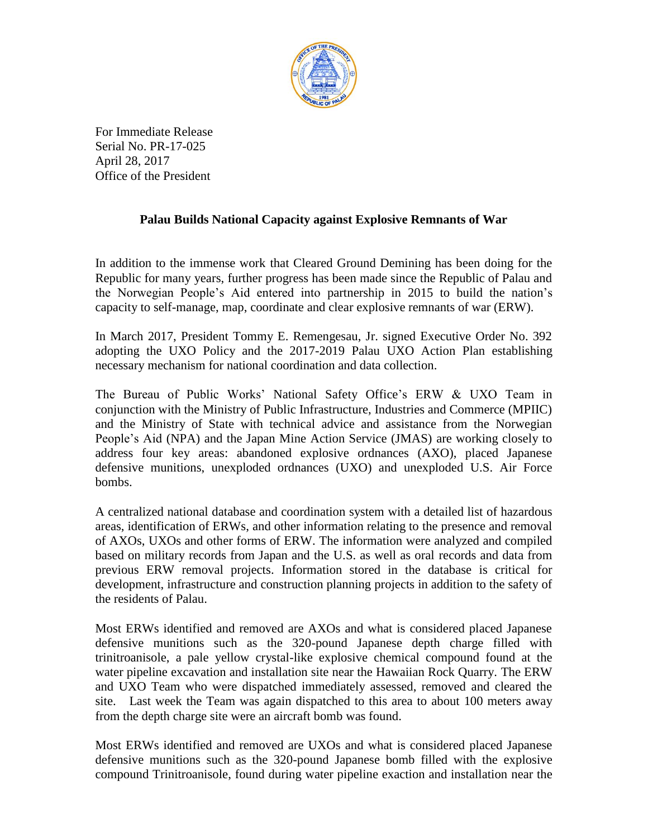

For Immediate Release Serial No. PR-17-025 April 28, 2017 Office of the President

## **Palau Builds National Capacity against Explosive Remnants of War**

In addition to the immense work that Cleared Ground Demining has been doing for the Republic for many years, further progress has been made since the Republic of Palau and the Norwegian People's Aid entered into partnership in 2015 to build the nation's capacity to self-manage, map, coordinate and clear explosive remnants of war (ERW).

In March 2017, President Tommy E. Remengesau, Jr. signed Executive Order No. 392 adopting the UXO Policy and the 2017-2019 Palau UXO Action Plan establishing necessary mechanism for national coordination and data collection.

The Bureau of Public Works' National Safety Office's ERW & UXO Team in conjunction with the Ministry of Public Infrastructure, Industries and Commerce (MPIIC) and the Ministry of State with technical advice and assistance from the Norwegian People's Aid (NPA) and the Japan Mine Action Service (JMAS) are working closely to address four key areas: abandoned explosive ordnances (AXO), placed Japanese defensive munitions, unexploded ordnances (UXO) and unexploded U.S. Air Force bombs.

A centralized national database and coordination system with a detailed list of hazardous areas, identification of ERWs, and other information relating to the presence and removal of AXOs, UXOs and other forms of ERW. The information were analyzed and compiled based on military records from Japan and the U.S. as well as oral records and data from previous ERW removal projects. Information stored in the database is critical for development, infrastructure and construction planning projects in addition to the safety of the residents of Palau.

Most ERWs identified and removed are AXOs and what is considered placed Japanese defensive munitions such as the 320-pound Japanese depth charge filled with trinitroanisole, a pale yellow crystal-like explosive chemical compound found at the water pipeline excavation and installation site near the Hawaiian Rock Quarry. The ERW and UXO Team who were dispatched immediately assessed, removed and cleared the site. Last week the Team was again dispatched to this area to about 100 meters away from the depth charge site were an aircraft bomb was found.

Most ERWs identified and removed are UXOs and what is considered placed Japanese defensive munitions such as the 320-pound Japanese bomb filled with the explosive compound Trinitroanisole, found during water pipeline exaction and installation near the